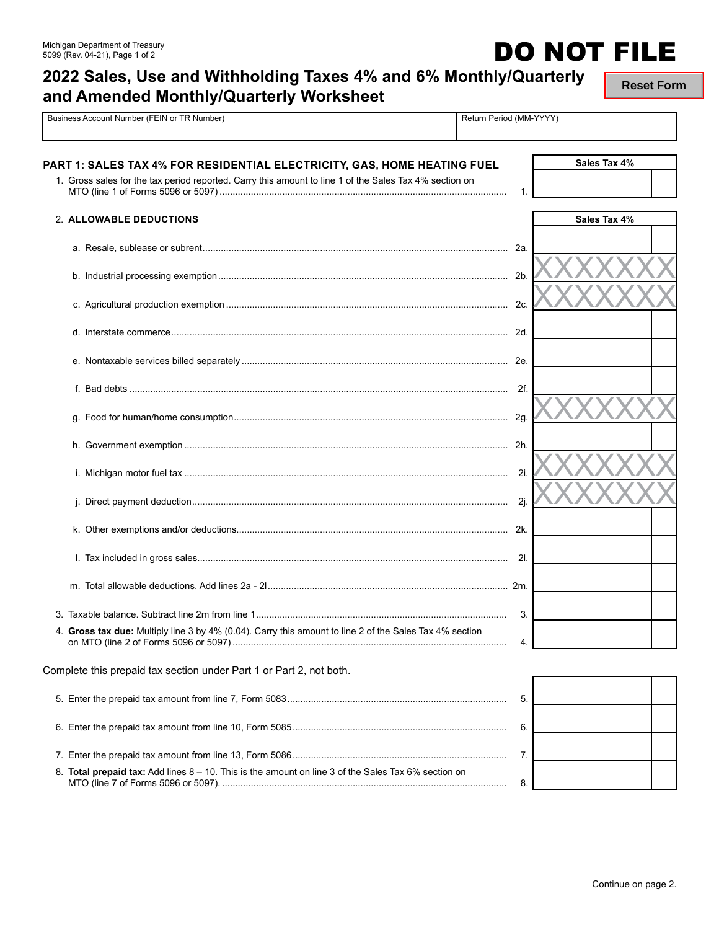# **2022 Sales, Use and Withholding Taxes 4% and 6% Monthly/Quarterly and Amended Monthly/Quarterly Worksheet**

Pusiness Account Number (FEIN or TR Number) Return Period (MM-YYYY)

**Reset Form**

**DO NOT FILE** 

| PART 1: SALES TAX 4% FOR RESIDENTIAL ELECTRICITY, GAS, HOME HEATING FUEL<br>1. Gross sales for the tax period reported. Carry this amount to line 1 of the Sales Tax 4% section on | 1.   | Sales Tax 4% |
|------------------------------------------------------------------------------------------------------------------------------------------------------------------------------------|------|--------------|
| 2. ALLOWABLE DEDUCTIONS                                                                                                                                                            |      | Sales Tax 4% |
|                                                                                                                                                                                    |      |              |
|                                                                                                                                                                                    |      |              |
|                                                                                                                                                                                    |      |              |
|                                                                                                                                                                                    |      |              |
|                                                                                                                                                                                    |      |              |
|                                                                                                                                                                                    |      |              |
|                                                                                                                                                                                    |      |              |
|                                                                                                                                                                                    |      |              |
|                                                                                                                                                                                    | 2i.  |              |
|                                                                                                                                                                                    | -2j. |              |
|                                                                                                                                                                                    |      |              |
|                                                                                                                                                                                    |      |              |
|                                                                                                                                                                                    |      |              |
|                                                                                                                                                                                    | 3.   |              |
| 4. Gross tax due: Multiply line 3 by 4% (0.04). Carry this amount to line 2 of the Sales Tax 4% section                                                                            | 4.   |              |
| Complete this prepaid tax section under Part 1 or Part 2, not both.                                                                                                                |      |              |
|                                                                                                                                                                                    | 5.   |              |
|                                                                                                                                                                                    | 6.   |              |
|                                                                                                                                                                                    | 7.   |              |
| 8. Total prepaid tax: Add lines $8 - 10$ . This is the amount on line 3 of the Sales Tax 6% section on                                                                             | 8.   |              |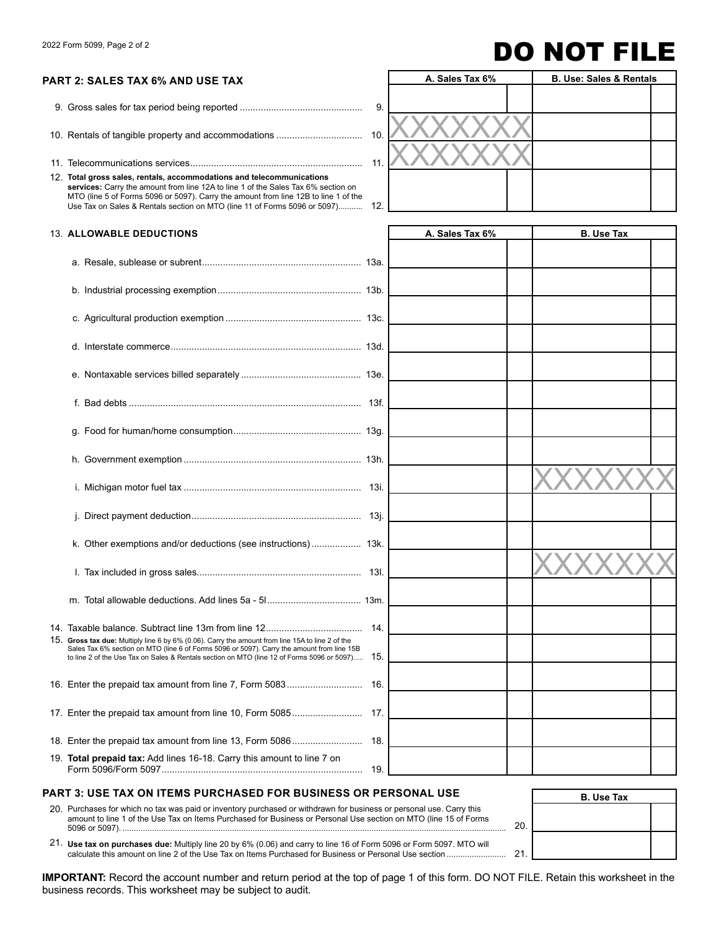# $2022$  Form 5099, Page 2 of 2 **DO NOT FILE**

### **PART 2: SALES TAX 6% AND USE TAX**

9. Gross sales for tax period being reported ............................................... 9.

10. Rentals of tangible property and accommodations ..................................

11. Telecommunications services.................................................................. 11.

12. **Total gross sales, rentals, accommodations and telecommunications services:** Carry the amount from line 12A to line 1 of the Sales Tax 6% section on<br>MTO (line 5 of Forms 5096 or 5097). Carry the amount from line 12B to line 1 of the Use Tax on Sales & Rentals section on MTO (line 11 of Forms 5096 or 5097)...........

|     | A. Sales Tax 6% | <b>B. Use: Sales &amp; Rentals</b> |  |  |  |  |
|-----|-----------------|------------------------------------|--|--|--|--|
| 9.  |                 |                                    |  |  |  |  |
| 10. |                 |                                    |  |  |  |  |
| 11. |                 |                                    |  |  |  |  |
|     |                 |                                    |  |  |  |  |
| 12. |                 |                                    |  |  |  |  |

**A. Sales Tax 6% A. B. Use Tax** 

#### 13. **ALLOWABLE DEDUCTIONS**

| k. Other exemptions and/or deductions (see instructions) 13k.<br>14.<br>Sales Tax 6% section on MTO (line 6 of Forms 5096 or 5097). Carry the amount from line 15B<br>to line 2 of the Use Tax on Sales & Rentals section on MTO (line 12 of Forms 5096 or 5097) 15. |  |     |  |  |
|----------------------------------------------------------------------------------------------------------------------------------------------------------------------------------------------------------------------------------------------------------------------|--|-----|--|--|
| 15. Gross tax due: Multiply line 6 by 6% (0.06). Carry the amount from line 15A to line 2 of the<br>19. Total prepaid tax: Add lines 16-18. Carry this amount to line 7 on                                                                                           |  |     |  |  |
|                                                                                                                                                                                                                                                                      |  |     |  |  |
|                                                                                                                                                                                                                                                                      |  |     |  |  |
|                                                                                                                                                                                                                                                                      |  |     |  |  |
|                                                                                                                                                                                                                                                                      |  |     |  |  |
|                                                                                                                                                                                                                                                                      |  |     |  |  |
|                                                                                                                                                                                                                                                                      |  |     |  |  |
|                                                                                                                                                                                                                                                                      |  |     |  |  |
|                                                                                                                                                                                                                                                                      |  |     |  |  |
|                                                                                                                                                                                                                                                                      |  |     |  |  |
|                                                                                                                                                                                                                                                                      |  |     |  |  |
|                                                                                                                                                                                                                                                                      |  |     |  |  |
|                                                                                                                                                                                                                                                                      |  |     |  |  |
|                                                                                                                                                                                                                                                                      |  |     |  |  |
|                                                                                                                                                                                                                                                                      |  |     |  |  |
|                                                                                                                                                                                                                                                                      |  |     |  |  |
|                                                                                                                                                                                                                                                                      |  |     |  |  |
|                                                                                                                                                                                                                                                                      |  |     |  |  |
|                                                                                                                                                                                                                                                                      |  |     |  |  |
|                                                                                                                                                                                                                                                                      |  | 19. |  |  |

| PART 3: USE TAX ON ITEMS PURCHASED FOR BUSINESS OR PERSONAL USE                                                                                                                                                                                            |    | <b>B.</b> Use Tax |  |
|------------------------------------------------------------------------------------------------------------------------------------------------------------------------------------------------------------------------------------------------------------|----|-------------------|--|
| 20. Purchases for which no tax was paid or inventory purchased or withdrawn for business or personal use. Carry this<br>amount to line 1 of the Use Tax on Items Purchased for Business or Personal Use section on MTO (line 15 of Forms<br>5096 or 5097). | 20 |                   |  |
| 21. Use tax on purchases due: Multiply line 20 by 6% (0.06) and carry to line 16 of Form 5096 or Form 5097. MTO will                                                                                                                                       | 21 |                   |  |

**IMPORTANT:** Record the account number and return period at the top of page 1 of this form. DO NOT FILE. Retain this worksheet in the business records. This worksheet may be subject to audit.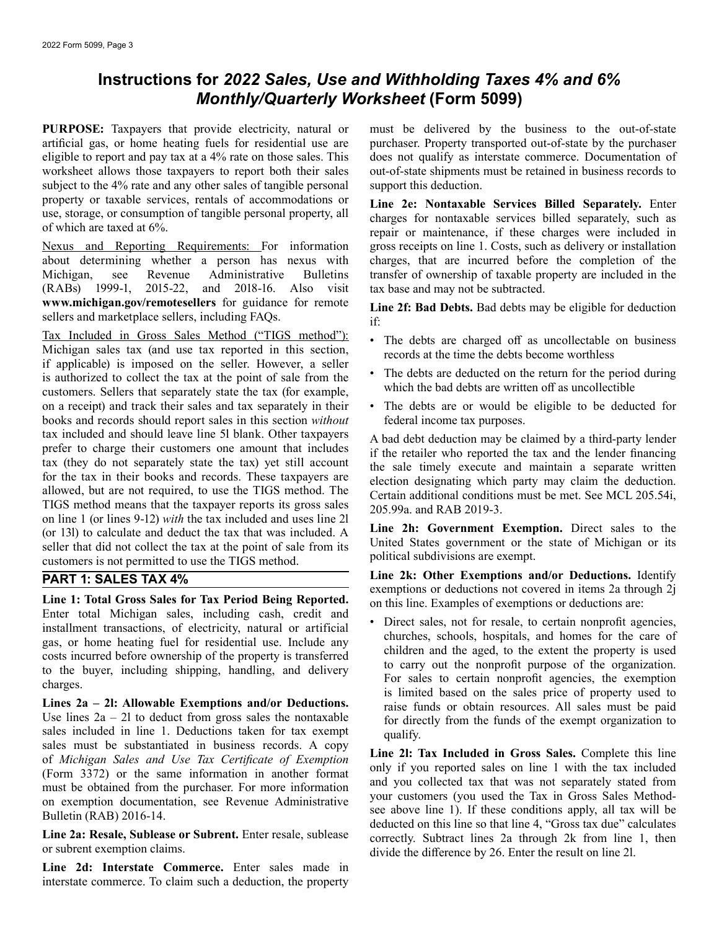# **Instructions for** *2022 Sales, Use and Withholding Taxes 4% and 6% Monthly/Quarterly Worksheet* **(Form 5099)**

**PURPOSE:** Taxpayers that provide electricity, natural or artificial gas, or home heating fuels for residential use are eligible to report and pay tax at a 4% rate on those sales. This [worksheet allows those taxpayers](www.michigan.gov/remotesellers) to report both their sales subject to the 4% rate and any other sales of tangible personal property or taxable services, rentals of accommodations or use, storage, or consumption of tangible personal property, all of which are taxed at 6%.

Nexus and Reporting Requirements: For information about determining whether a person has nexus with Michigan, see Revenue Administrative Bulletins (RABs) 1999-1, 2015-22, and 2018-16. Also visit **<www.michigan.gov/remotesellers>** for guidance for remote sellers and marketplace sellers, including FAQs.

Tax Included in Gross Sales Method ("TIGS method"): Michigan sales tax (and use tax reported in this section, if applicable) is imposed on the seller. However, a seller is authorized to collect the tax at the point of sale from the customers. Sellers that separately state the tax (for example, on a receipt) and track their sales and tax separately in their books and records should report sales in this section *without*  tax included and should leave line 5l blank. Other taxpayers prefer to charge their customers one amount that includes tax (they do not separately state the tax) yet still account for the tax in their books and records. These taxpayers are allowed, but are not required, to use the TIGS method. The TIGS method means that the taxpayer reports its gross sales on line 1 (or lines 9-12) *with* the tax included and uses line 2l (or 13l) to calculate and deduct the tax that was included. A seller that did not collect the tax at the point of sale from its customers is not permitted to use the TIGS method.

## **PART 1: SALES TAX 4%**

**Line 1: Total Gross Sales for Tax Period Being Reported.**  Enter total Michigan sales, including cash, credit and installment transactions, of electricity, natural or artificial gas, or home heating fuel for residential use. Include any costs incurred before ownership of the property is transferred to the buyer, including shipping, handling, and delivery charges.

**Lines 2a – 2l: Allowable Exemptions and/or Deductions.**  Use lines  $2a - 2l$  to deduct from gross sales the nontaxable sales included in line 1. Deductions taken for tax exempt sales must be substantiated in business records. A copy of *Michigan Sales and Use Tax Certificate of Exemption*  (Form 3372) or the same information in another format must be obtained from the purchaser. For more information on exemption documentation, see Revenue Administrative Bulletin (RAB) 2016-14.

Line 2a: Resale, Sublease or Subrent. Enter resale, sublease or subrent exemption claims.

Line 2d: Interstate Commerce. Enter sales made in interstate commerce. To claim such a deduction, the property

must be delivered by the business to the out-of-state purchaser. Property transported out-of-state by the purchaser does not qualify as interstate commerce. Documentation of out-of-state shipments must be retained in business records to support this deduction.

**Line 2e: Nontaxable Services Billed Separately.** Enter charges for nontaxable services billed separately, such as repair or maintenance, if these charges were included in gross receipts on line 1. Costs, such as delivery or installation charges, that are incurred before the completion of the transfer of ownership of taxable property are included in the tax base and may not be subtracted.

**Line 2f: Bad Debts.** Bad debts may be eligible for deduction if:

- • The debts are charged off as uncollectable on business records at the time the debts become worthless
- • The debts are deducted on the return for the period during which the bad debts are written off as uncollectible
- • The debts are or would be eligible to be deducted for federal income tax purposes.

A bad debt deduction may be claimed by a third-party lender if the retailer who reported the tax and the lender financing the sale timely execute and maintain a separate written election designating which party may claim the deduction. Certain additional conditions must be met. See MCL 205.54i, 205.99a. and RAB 2019-3.

**Line 2h: Government Exemption.** Direct sales to the United States government or the state of Michigan or its political subdivisions are exempt.

**Line 2k: Other Exemptions and/or Deductions.** Identify exemptions or deductions not covered in items 2a through 2j on this line. Examples of exemptions or deductions are:

 • Direct sales, not for resale, to certain nonprofit agencies, churches, schools, hospitals, and homes for the care of children and the aged, to the extent the property is used to carry out the nonprofit purpose of the organization. For sales to certain nonprofit agencies, the exemption is limited based on the sales price of property used to raise funds or obtain resources. All sales must be paid for directly from the funds of the exempt organization to qualify.

**Line 2l: Tax Included in Gross Sales.** Complete this line only if you reported sales on line 1 with the tax included and you collected tax that was not separately stated from your customers (you used the Tax in Gross Sales Methodsee above line 1). If these conditions apply, all tax will be deducted on this line so that line 4, "Gross tax due" calculates correctly. Subtract lines 2a through 2k from line 1, then divide the difference by 26. Enter the result on line 2l.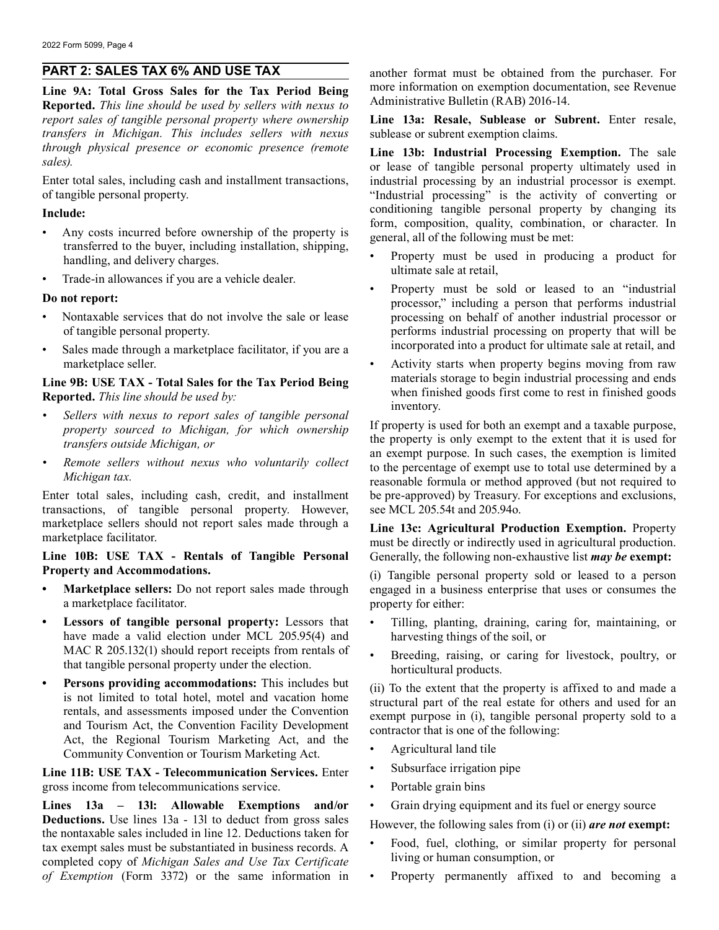# **PART 2: SALES TAX 6% AND USE TAX**

**Line 9A: Total Gross Sales for the Tax Period Being Reported.** *This line should be used by sellers with nexus to report sales of tangible personal property where ownership transfers in Michigan. This includes sellers with nexus through physical presence or economic presence (remote sales).*

Enter total sales, including cash and installment transactions, of tangible personal property.

### **Include:**

- Any costs incurred before ownership of the property is transferred to the buyer, including installation, shipping, handling, and delivery charges.
- Trade-in allowances if you are a vehicle dealer.

### **Do not report:**

- Nontaxable services that do not involve the sale or lease of tangible personal property.
- Sales made through a marketplace facilitator, if you are a marketplace seller.

**Line 9B: USE TAX - Total Sales for the Tax Period Being Reported.** *This line should be used by:* 

- *Sellers with nexus to report sales of tangible personal property sourced to Michigan, for which ownership transfers outside Michigan, or*
- *Remote sellers without nexus who voluntarily collect Michigan tax.*

Enter total sales, including cash, credit, and installment transactions, of tangible personal property. However, marketplace sellers should not report sales made through a marketplace facilitator.

**Line 10B: USE TAX - Rentals of Tangible Personal Property and Accommodations.** 

- **Marketplace sellers:** Do not report sales made through a marketplace facilitator.
- **Lessors of tangible personal property:** Lessors that have made a valid election under MCL 205.95(4) and MAC R 205.132(1) should report receipts from rentals of that tangible personal property under the election.
- **Persons providing accommodations:** This includes but is not limited to total hotel, motel and vacation home rentals, and assessments imposed under the Convention and Tourism Act, the Convention Facility Development Act, the Regional Tourism Marketing Act, and the Community Convention or Tourism Marketing Act.

**Line 11B: USE TAX - Telecommunication Services.** Enter gross income from telecommunications service.

**Lines 13a – 13l: Allowable Exemptions and/or Deductions.** Use lines 13a - 13l to deduct from gross sales the nontaxable sales included in line 12. Deductions taken for tax exempt sales must be substantiated in business records. A completed copy of *Michigan Sales and Use Tax Certificate of Exemption* (Form 3372) or the same information in another format must be obtained from the purchaser. For more information on exemption documentation, see Revenue Administrative Bulletin (RAB) 2016-14.

**Line 13a: Resale, Sublease or Subrent.** Enter resale, sublease or subrent exemption claims.

**Line 13b: Industrial Processing Exemption.** The sale or lease of tangible personal property ultimately used in industrial processing by an industrial processor is exempt. "Industrial processing" is the activity of converting or conditioning tangible personal property by changing its form, composition, quality, combination, or character. In general, all of the following must be met:

- Property must be used in producing a product for ultimate sale at retail,
- Property must be sold or leased to an "industrial processor," including a person that performs industrial processing on behalf of another industrial processor or performs industrial processing on property that will be incorporated into a product for ultimate sale at retail, and
- Activity starts when property begins moving from raw materials storage to begin industrial processing and ends when finished goods first come to rest in finished goods inventory.

If property is used for both an exempt and a taxable purpose, the property is only exempt to the extent that it is used for an exempt purpose. In such cases, the exemption is limited to the percentage of exempt use to total use determined by a reasonable formula or method approved (but not required to be pre-approved) by Treasury. For exceptions and exclusions, see MCL 205.54t and 205.94o.

**Line 13c: Agricultural Production Exemption.** Property must be directly or indirectly used in agricultural production. Generally, the following non-exhaustive list *may be* **exempt:** 

(i) Tangible personal property sold or leased to a person engaged in a business enterprise that uses or consumes the property for either:

- Tilling, planting, draining, caring for, maintaining, or harvesting things of the soil, or
- Breeding, raising, or caring for livestock, poultry, or horticultural products.

(ii) To the extent that the property is affixed to and made a structural part of the real estate for others and used for an exempt purpose in (i), tangible personal property sold to a contractor that is one of the following:

- Agricultural land tile
- Subsurface irrigation pipe
- Portable grain bins
- Grain drying equipment and its fuel or energy source

However, the following sales from (i) or (ii) *are not* **exempt:** 

- Food, fuel, clothing, or similar property for personal living or human consumption, or
- Property permanently affixed to and becoming a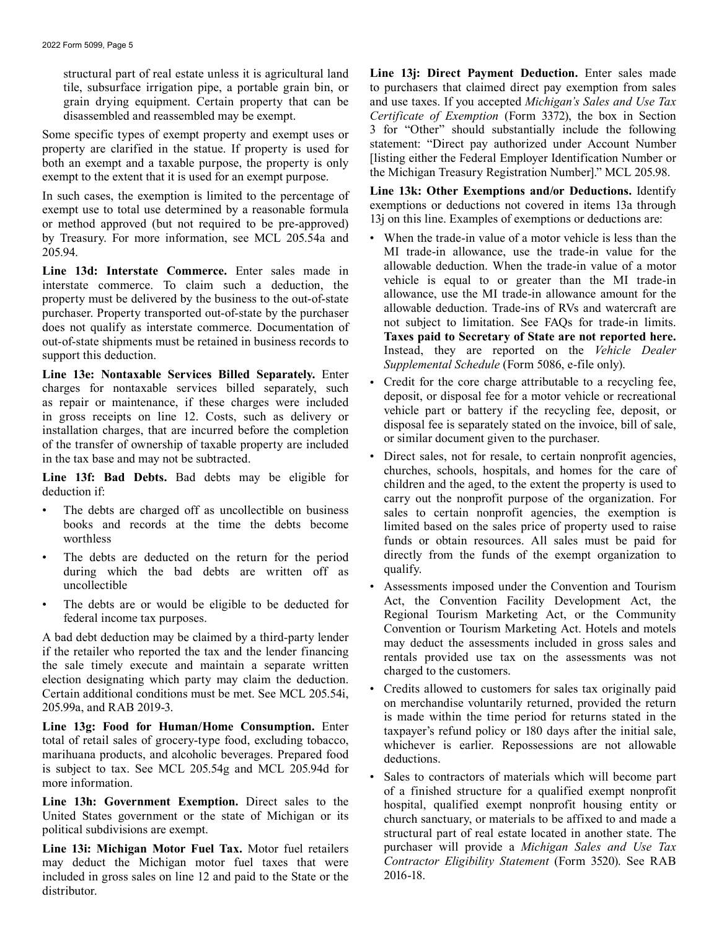structural part of real estate unless it is agricultural land tile, subsurface irrigation pipe, a portable grain bin, or grain drying equipment. Certain property that can be disassembled and reassembled may be exempt.

Some specific types of exempt property and exempt uses or property are clarified in the statue. If property is used for both an exempt and a taxable purpose, the property is only exempt to the extent that it is used for an exempt purpose.

In such cases, the exemption is limited to the percentage of exempt use to total use determined by a reasonable formula or method approved (but not required to be pre-approved) by Treasury. For more information, see MCL 205.54a and 205.94.

**Line 13d: Interstate Commerce.** Enter sales made in interstate commerce. To claim such a deduction, the property must be delivered by the business to the out-of-state purchaser. Property transported out-of-state by the purchaser does not qualify as interstate commerce. Documentation of out-of-state shipments must be retained in business records to support this deduction.

**Line 13e: Nontaxable Services Billed Separately.** Enter charges for nontaxable services billed separately, such as repair or maintenance, if these charges were included in gross receipts on line 12. Costs, such as delivery or installation charges, that are incurred before the completion of the transfer of ownership of taxable property are included in the tax base and may not be subtracted.

**Line 13f: Bad Debts.** Bad debts may be eligible for deduction if:

- The debts are charged off as uncollectible on business books and records at the time the debts become worthless
- The debts are deducted on the return for the period during which the bad debts are written off as uncollectible
- The debts are or would be eligible to be deducted for federal income tax purposes.

A bad debt deduction may be claimed by a third-party lender if the retailer who reported the tax and the lender financing the sale timely execute and maintain a separate written election designating which party may claim the deduction. Certain additional conditions must be met. See MCL 205.54i, 205.99a, and RAB 2019-3.

**Line 13g: Food for Human/Home Consumption.** Enter total of retail sales of grocery-type food, excluding tobacco, marihuana products, and alcoholic beverages. Prepared food is subject to tax. See MCL 205.54g and MCL 205.94d for more information.

**Line 13h: Government Exemption.** Direct sales to the United States government or the state of Michigan or its political subdivisions are exempt.

**Line 13i: Michigan Motor Fuel Tax.** Motor fuel retailers may deduct the Michigan motor fuel taxes that were included in gross sales on line 12 and paid to the State or the distributor.

 *Certificate of Exemption* (Form 3372), the box in Section Line 13*j*: Direct Payment Deduction. Enter sales made to purchasers that claimed direct pay exemption from sales and use taxes. If you accepted *Michigan's Sales and Use Tax*  3 for "Other" should substantially include the following statement: "Direct pay authorized under Account Number [listing either the Federal Employer Identification Number or the Michigan Treasury Registration Number]." MCL 205.98.

**Line 13k: Other Exemptions and/or Deductions.** Identify exemptions or deductions not covered in items 13a through 13j on this line. Examples of exemptions or deductions are:

- When the trade-in value of a motor vehicle is less than the MI trade-in allowance, use the trade-in value for the allowable deduction. When the trade-in value of a motor vehicle is equal to or greater than the MI trade-in allowance, use the MI trade-in allowance amount for the allowable deduction. Trade-ins of RVs and watercraft are not subject to limitation. See FAQs for trade-in limits. **Taxes paid to Secretary of State are not reported here.**  Instead, they are reported on the *Vehicle Dealer Supplemental Schedule* (Form 5086, e-file only).
- Credit for the core charge attributable to a recycling fee, deposit, or disposal fee for a motor vehicle or recreational vehicle part or battery if the recycling fee, deposit, or disposal fee is separately stated on the invoice, bill of sale, or similar document given to the purchaser.
- Direct sales, not for resale, to certain nonprofit agencies, churches, schools, hospitals, and homes for the care of children and the aged, to the extent the property is used to carry out the nonprofit purpose of the organization. For sales to certain nonprofit agencies, the exemption is limited based on the sales price of property used to raise funds or obtain resources. All sales must be paid for directly from the funds of the exempt organization to qualify.
- Assessments imposed under the Convention and Tourism Act, the Convention Facility Development Act, the Regional Tourism Marketing Act, or the Community Convention or Tourism Marketing Act. Hotels and motels may deduct the assessments included in gross sales and rentals provided use tax on the assessments was not charged to the customers.
- Credits allowed to customers for sales tax originally paid on merchandise voluntarily returned, provided the return is made within the time period for returns stated in the taxpayer's refund policy or 180 days after the initial sale, whichever is earlier. Repossessions are not allowable deductions.
- Sales to contractors of materials which will become part of a finished structure for a qualified exempt nonprofit hospital, qualified exempt nonprofit housing entity or church sanctuary, or materials to be affixed to and made a structural part of real estate located in another state. The purchaser will provide a *Michigan Sales and Use Tax Contractor Eligibility Statement* (Form 3520). See RAB 2016-18.